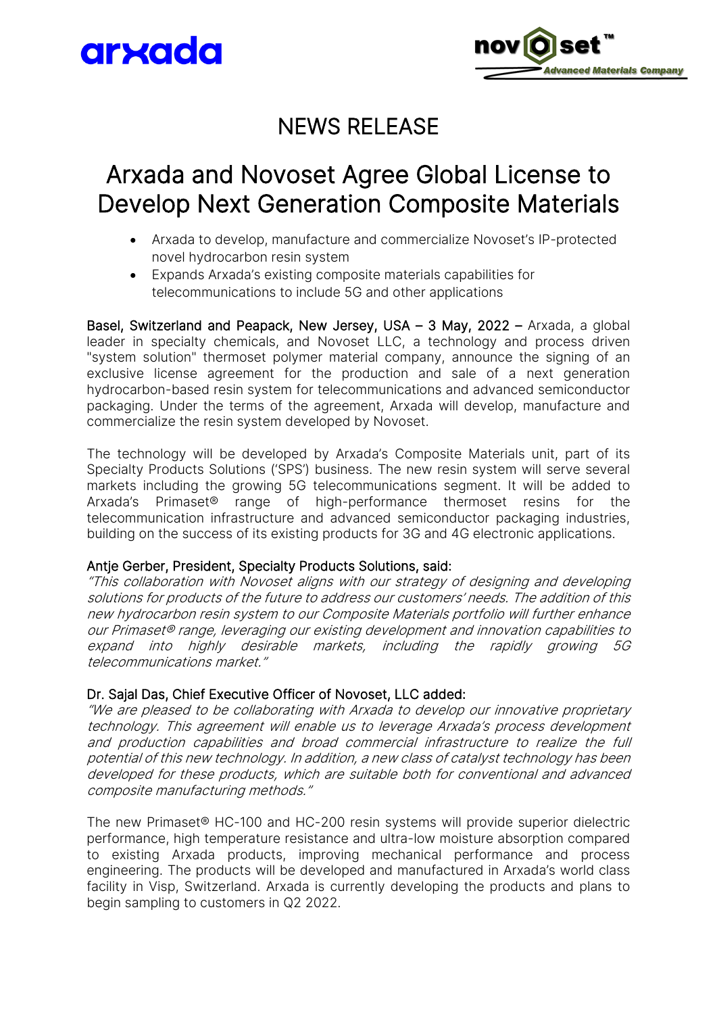



### NEWS RELEASE

### Arxada and Novoset Agree Global License to Develop Next Generation Composite Materials  $\overline{\phantom{a}}$

- Arxada to develop, manufacture and commercialize Novoset's IP-protected novel hydrocarbon resin system
- Expands Arxada's existing composite materials capabilities for telecommunications to include 5G and other applications

Basel, Switzerland and Peapack, New Jersey, USA - 3 May, 2022 - Arxada, a global leader in specialty chemicals, and Novoset LLC, a technology and process driven "system solution" thermoset polymer material company, announce the signing of an exclusive license agreement for the production and sale of a next generation hydrocarbon-based resin system for telecommunications and advanced semiconductor packaging. Under the terms of the agreement, Arxada will develop, manufacture and commercialize the resin system developed by Novoset.

The technology will be developed by Arxada's Composite Materials unit, part of its Specialty Products Solutions ('SPS') business. The new resin system will serve several markets including the growing 5G telecommunications segment. It will be added to Arxada's Primaset® range of high-performance thermoset resins for the telecommunication infrastructure and advanced semiconductor packaging industries, building on the success of its existing products for 3G and 4G electronic applications.

#### Antje Gerber, President, Specialty Products Solutions, said:

"This collaboration with Novoset aligns with our strategy of designing and developing solutions for products of the future to address our customers' needs. The addition of this new hydrocarbon resin system to our Composite Materials portfolio will further enhance our Primaset® range, leveraging our existing development and innovation capabilities to expand into highly desirable markets, including the rapidly growing 5G telecommunications market."

#### Dr. Sajal Das, Chief Executive Officer of Novoset, LLC added:

"We are pleased to be collaborating with Arxada to develop our innovative proprietary technology. This agreement will enable us to leverage Arxada's process development and production capabilities and broad commercial infrastructure to realize the full potential of this new technology. In addition, a new class of catalyst technology has been developed for these products, which are suitable both for conventional and advanced composite manufacturing methods."

The new Primaset® HC-100 and HC-200 resin systems will provide superior dielectric performance, high temperature resistance and ultra-low moisture absorption compared to existing Arxada products, improving mechanical performance and process engineering. The products will be developed and manufactured in Arxada's world class facility in Visp, Switzerland. Arxada is currently developing the products and plans to begin sampling to customers in Q2 2022.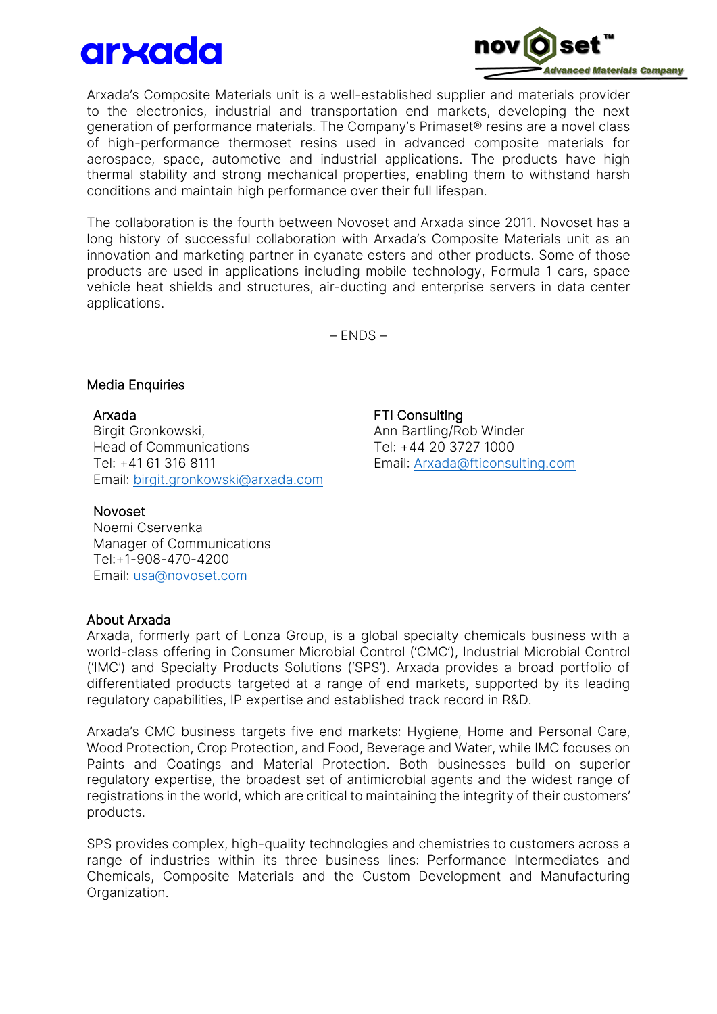# arxada



Arxada's Composite Materials unit is a well-established supplier and materials provider to the electronics, industrial and transportation end markets, developing the next generation of performance materials. The Company's Primaset® resins are a novel class of high-performance thermoset resins used in advanced composite materials for aerospace, space, automotive and industrial applications. The products have high thermal stability and strong mechanical properties, enabling them to withstand harsh conditions and maintain high performance over their full lifespan.

The collaboration is the fourth between Novoset and Arxada since 2011. Novoset has a long history of successful collaboration with Arxada's Composite Materials unit as an innovation and marketing partner in cyanate esters and other products. Some of those products are used in applications including mobile technology, Formula 1 cars, space vehicle heat shields and structures, air-ducting and enterprise servers in data center applications.

– ENDS –

#### Media Enquiries

Arxada Birgit Gronkowski, Head of Communications Tel: +41 61 316 8111 Email: [birgit.gronkowski@arxada.com](mailto:birgit.gronkowski@arxada.com)

#### Novoset

Noemi Cservenka Manager of Communications Tel:+1-908-470-4200 Email: [usa@novoset.com](mailto:usa@novoset.com)

#### About Arxada

Arxada, formerly part of Lonza Group, is a global specialty chemicals business with a world-class offering in Consumer Microbial Control ('CMC'), Industrial Microbial Control ('IMC') and Specialty Products Solutions ('SPS'). Arxada provides a broad portfolio of differentiated products targeted at a range of end markets, supported by its leading regulatory capabilities, IP expertise and established track record in R&D.

Arxada's CMC business targets five end markets: Hygiene, Home and Personal Care, Wood Protection, Crop Protection, and Food, Beverage and Water, while IMC focuses on Paints and Coatings and Material Protection. Both businesses build on superior regulatory expertise, the broadest set of antimicrobial agents and the widest range of registrations in the world, which are critical to maintaining the integrity of their customers' products.

SPS provides complex, high-quality technologies and chemistries to customers across a range of industries within its three business lines: Performance Intermediates and Chemicals, Composite Materials and the Custom Development and Manufacturing Organization.

FTI Consulting Ann Bartling/Rob Winder Tel: +44 20 3727 1000 Email: [Arxada@fticonsulting.com](mailto:Arxada@fticonsulting.com)